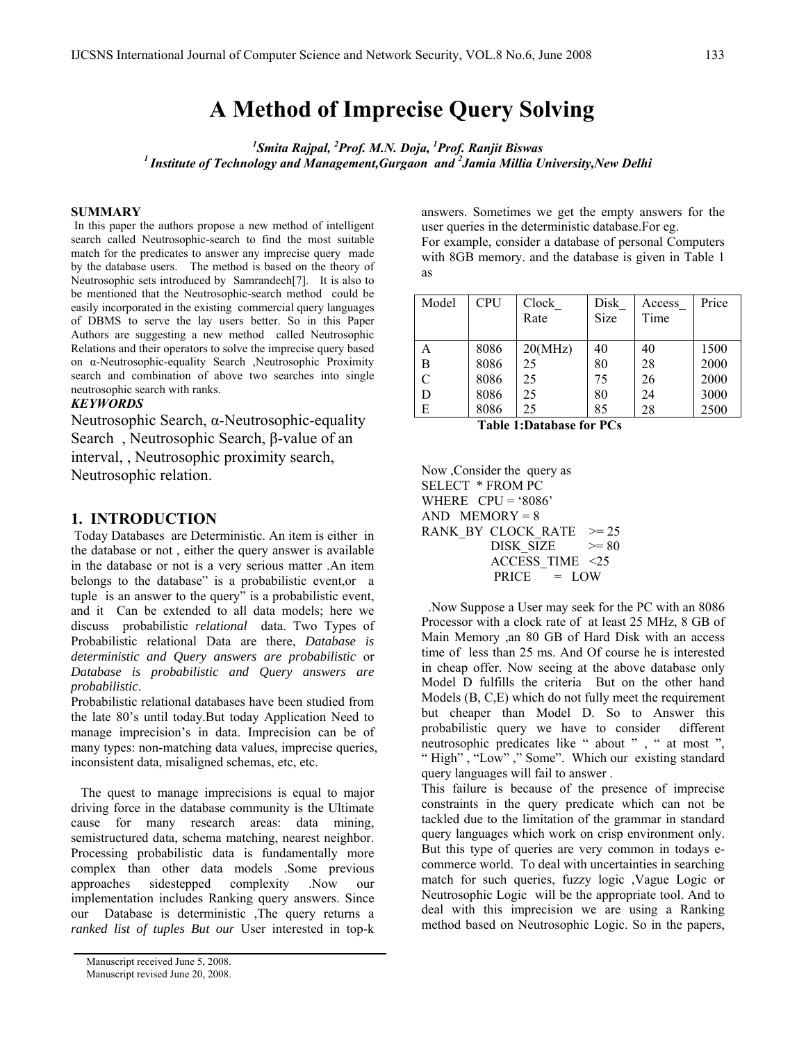# **A Method of Imprecise Query Solving**

*1 Smita Rajpal, <sup>2</sup> Prof. M.N. Doja, <sup>1</sup> Prof. Ranjit Biswas 1 Institute of Technology and Management,Gurgaon and 2 Jamia Millia University,New Delhi* 

#### **SUMMARY**

In this paper the authors propose a new method of intelligent search called Neutrosophic-search to find the most suitable match for the predicates to answer any imprecise query made by the database users. The method is based on the theory of Neutrosophic sets introduced by Samrandech[7]. It is also to be mentioned that the Neutrosophic-search method could be easily incorporated in the existing commercial query languages of DBMS to serve the lay users better. So in this Paper Authors are suggesting a new method called Neutrosophic Relations and their operators to solve the imprecise query based on α-Neutrosophic-equality Search ,Neutrosophic Proximity search and combination of above two searches into single neutrosophic search with ranks.

## *KEYWORDS*

Neutrosophic Search, α-Neutrosophic-equality Search , Neutrosophic Search, β-value of an interval, , Neutrosophic proximity search, Neutrosophic relation.

#### **1. INTRODUCTION**

 Today Databases are Deterministic. An item is either in the database or not , either the query answer is available in the database or not is a very serious matter .An item belongs to the database" is a probabilistic event,or a tuple is an answer to the query" is a probabilistic event, and it Can be extended to all data models; here we discuss probabilistic *relational* data. Two Types of Probabilistic relational Data are there, *Database is deterministic and Query answers are probabilistic* or *Database is probabilistic and Query answers are probabilistic*.

Probabilistic relational databases have been studied from the late 80's until today.But today Application Need to manage imprecision's in data. Imprecision can be of many types: non-matching data values, imprecise queries, inconsistent data, misaligned schemas, etc, etc.

 The quest to manage imprecisions is equal to major driving force in the database community is the Ultimate cause for many research areas: data mining, semistructured data, schema matching, nearest neighbor. Processing probabilistic data is fundamentally more complex than other data models .Some previous approaches sidestepped complexity .Now our implementation includes Ranking query answers. Since our Database is deterministic ,The query returns a *ranked list of tuples But our* User interested in top-k

answers. Sometimes we get the empty answers for the user queries in the deterministic database.For eg. For example, consider a database of personal Computers with 8GB memory. and the database is given in Table 1 as

| Model | <b>CPU</b> | Clock   | Disk | Access | Price |
|-------|------------|---------|------|--------|-------|
|       |            | Rate    | Size | Time   |       |
|       |            |         |      |        |       |
| Α     | 8086       | 20(MHz) | 40   | 40     | 1500  |
| B     | 8086       | 25      | 80   | 28     | 2000  |
|       | 8086       | 25      | 75   | 26     | 2000  |
| D     | 8086       | 25      | 80   | 24     | 3000  |
| Е     | 8086       | 25      | 85   | 28     | 2500  |

 **Table 1:Database for PCs** 

Now ,Consider the query as SELECT \* FROM PC WHERE  $CPU = '8086'$  $AND$  MEMORY = 8 RANK BY CLOCK RATE  $>= 25$ DISK SIZE  $\geq 80$  ACCESS\_TIME <25 PRICE = LOW

 .Now Suppose a User may seek for the PC with an 8086 Processor with a clock rate of at least 25 MHz, 8 GB of Main Memory ,an 80 GB of Hard Disk with an access time of less than 25 ms. And Of course he is interested in cheap offer. Now seeing at the above database only Model D fulfills the criteria But on the other hand Models (B, C,E) which do not fully meet the requirement but cheaper than Model D. So to Answer this probabilistic query we have to consider different neutrosophic predicates like " about " , " at most ", " High", "Low"," Some". Which our existing standard query languages will fail to answer .

This failure is because of the presence of imprecise constraints in the query predicate which can not be tackled due to the limitation of the grammar in standard query languages which work on crisp environment only. But this type of queries are very common in todays ecommerce world. To deal with uncertainties in searching match for such queries, fuzzy logic ,Vague Logic or Neutrosophic Logic will be the appropriate tool. And to deal with this imprecision we are using a Ranking method based on Neutrosophic Logic. So in the papers,

Manuscript received June 5, 2008. Manuscript revised June 20, 2008.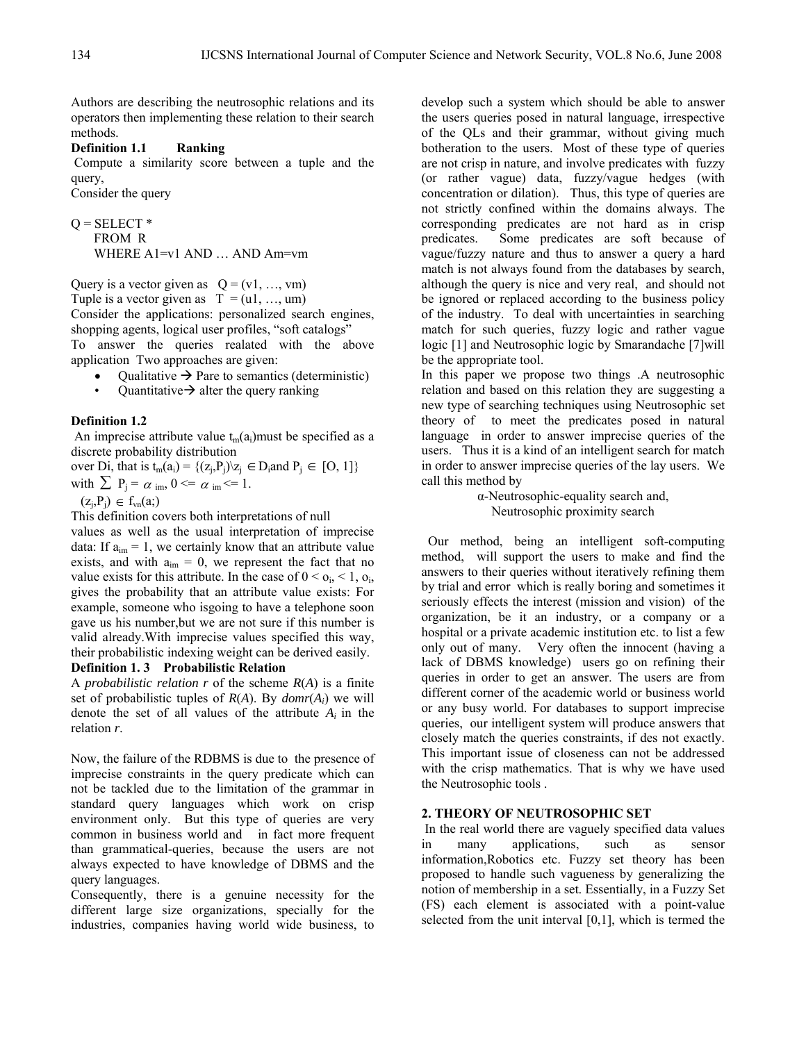Authors are describing the neutrosophic relations and its operators then implementing these relation to their search methods.

## **Definition 1.1 Ranking**

Compute a similarity score between a tuple and the query,

Consider the query

$$
Q = SELECT *FROM RWHERE A1=v1 AND ... AND Am=vm
$$

Query is a vector given as  $Q = (v1, ..., vm)$ Tuple is a vector given as  $T = (u1, ..., um)$ Consider the applications: personalized search engines,

shopping agents, logical user profiles, "soft catalogs" To answer the queries realated with the above application Two approaches are given:

- Qualitative  $\rightarrow$  Pare to semantics (deterministic)
- Quantitative  $\rightarrow$  alter the query ranking

#### **Definition 1.2**

An imprecise attribute value  $t_m(a_i)$  must be specified as a discrete probability distribution

over Di, that is  $t_m(a_i) = \{(z_i, P_j) | z_i \in D_i \text{ and } P_i \in [0, 1]\}$ with  $\sum P_i = \alpha$  im,  $0 \le \alpha$  im  $\le 1$ .

 $(z_i,P_i) \in f_{vn}(a_i)$ 

This definition covers both interpretations of null

values as well as the usual interpretation of imprecise data: If  $a_{im} = 1$ , we certainly know that an attribute value exists, and with  $a_{im} = 0$ , we represent the fact that no value exists for this attribute. In the case of  $0 < o_i, < 1, o_i$ , gives the probability that an attribute value exists: For example, someone who isgoing to have a telephone soon gave us his number,but we are not sure if this number is valid already.With imprecise values specified this way, their probabilistic indexing weight can be derived easily.

## **Definition 1. 3 Probabilistic Relation**

A *probabilistic relation r* of the scheme *R*(*A*) is a finite set of probabilistic tuples of *R*(*A*). By *domr*(*Ai*) we will denote the set of all values of the attribute  $A_i$  in the relation *r*.

Now, the failure of the RDBMS is due to the presence of imprecise constraints in the query predicate which can not be tackled due to the limitation of the grammar in standard query languages which work on crisp environment only. But this type of queries are very common in business world and in fact more frequent than grammatical-queries, because the users are not always expected to have knowledge of DBMS and the query languages.

Consequently, there is a genuine necessity for the different large size organizations, specially for the industries, companies having world wide business, to develop such a system which should be able to answer the users queries posed in natural language, irrespective of the QLs and their grammar, without giving much botheration to the users. Most of these type of queries are not crisp in nature, and involve predicates with fuzzy (or rather vague) data, fuzzy/vague hedges (with concentration or dilation). Thus, this type of queries are not strictly confined within the domains always. The corresponding predicates are not hard as in crisp predicates. Some predicates are soft because of vague/fuzzy nature and thus to answer a query a hard match is not always found from the databases by search, although the query is nice and very real, and should not be ignored or replaced according to the business policy of the industry. To deal with uncertainties in searching match for such queries, fuzzy logic and rather vague logic [1] and Neutrosophic logic by Smarandache [7]will be the appropriate tool.

In this paper we propose two things .A neutrosophic relation and based on this relation they are suggesting a new type of searching techniques using Neutrosophic set theory of to meet the predicates posed in natural language in order to answer imprecise queries of the users. Thus it is a kind of an intelligent search for match in order to answer imprecise queries of the lay users. We call this method by

> α-Neutrosophic-equality search and, Neutrosophic proximity search

 Our method, being an intelligent soft-computing method, will support the users to make and find the answers to their queries without iteratively refining them by trial and error which is really boring and sometimes it seriously effects the interest (mission and vision) of the organization, be it an industry, or a company or a hospital or a private academic institution etc. to list a few only out of many. Very often the innocent (having a lack of DBMS knowledge) users go on refining their queries in order to get an answer. The users are from different corner of the academic world or business world or any busy world. For databases to support imprecise queries, our intelligent system will produce answers that closely match the queries constraints, if des not exactly. This important issue of closeness can not be addressed with the crisp mathematics. That is why we have used the Neutrosophic tools .

#### **2. THEORY OF NEUTROSOPHIC SET**

 In the real world there are vaguely specified data values in many applications, such as sensor information,Robotics etc. Fuzzy set theory has been proposed to handle such vagueness by generalizing the notion of membership in a set. Essentially, in a Fuzzy Set (FS) each element is associated with a point-value selected from the unit interval [0,1], which is termed the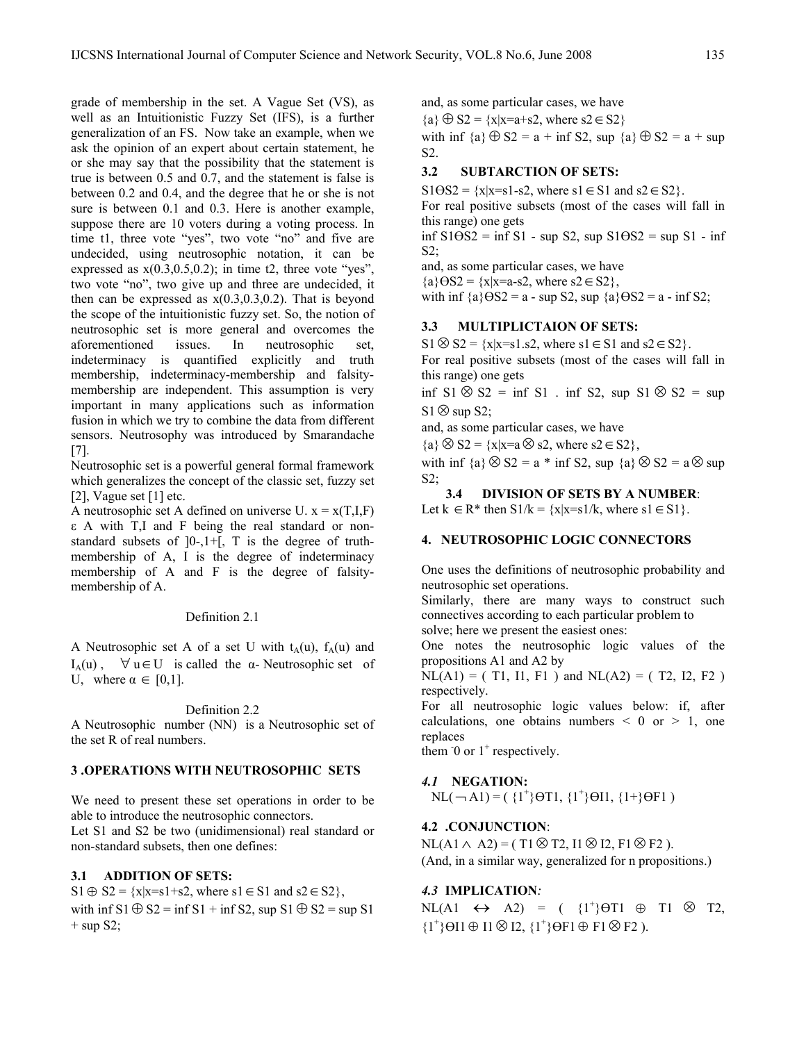grade of membership in the set. A Vague Set (VS), as well as an Intuitionistic Fuzzy Set (IFS), is a further generalization of an FS. Now take an example, when we ask the opinion of an expert about certain statement, he or she may say that the possibility that the statement is true is between 0.5 and 0.7, and the statement is false is between 0.2 and 0.4, and the degree that he or she is not sure is between 0.1 and 0.3. Here is another example, suppose there are 10 voters during a voting process. In time t1, three vote "yes", two vote "no" and five are undecided, using neutrosophic notation, it can be expressed as  $x(0.3, 0.5, 0.2)$ ; in time t2, three vote "yes", two vote "no", two give up and three are undecided, it then can be expressed as  $x(0.3,0.3,0.2)$ . That is beyond the scope of the intuitionistic fuzzy set. So, the notion of neutrosophic set is more general and overcomes the aforementioned issues. In neutrosophic set, indeterminacy is quantified explicitly and truth membership, indeterminacy-membership and falsitymembership are independent. This assumption is very important in many applications such as information fusion in which we try to combine the data from different sensors. Neutrosophy was introduced by Smarandache [7].

Neutrosophic set is a powerful general formal framework which generalizes the concept of the classic set, fuzzy set [2], Vague set  $[1]$  etc.

A neutrosophic set A defined on universe U.  $x = x(T,I,F)$ ε A with T,I and F being the real standard or nonstandard subsets of  $]0-1+$ , T is the degree of truthmembership of A, I is the degree of indeterminacy membership of A and F is the degree of falsitymembership of A.

#### Definition 2.1

A Neutrosophic set A of a set U with  $t_A(u)$ ,  $f_A(u)$  and I<sub>A</sub>(u),  $\forall$  u∈U is called the  $\alpha$ - Neutrosophic set of U, where  $\alpha \in [0,1]$ .

Definition 2.2

A Neutrosophic number (NN) is a Neutrosophic set of the set R of real numbers.

## **3 .OPERATIONS WITH NEUTROSOPHIC SETS**

We need to present these set operations in order to be able to introduce the neutrosophic connectors.

Let S1 and S2 be two (unidimensional) real standard or non-standard subsets, then one defines:

## **3.1 ADDITION OF SETS:**

 $S1 \oplus S2 = \{x|x=s1+s2, \text{ where } s1 \in S1 \text{ and } s2 \in S2\},\$ with inf  $S1 \oplus S2 = \inf S1 + \inf S2$ , sup  $S1 \oplus S2 = \sup S1$  $+$  sup S2;

and, as some particular cases, we have  ${a} \oplus S2 = {x|x=a+s2, where s2 \in S2}$ with inf  ${a} \bigoplus S2 = a + \inf S2$ , sup  ${a} \bigoplus S2 = a + \sup$ S2.

## **3.2 SUBTARCTION OF SETS:**

 $S1\Theta S2 = \{x|x=s1-s2, \text{ where } s1 \in S1 \text{ and } s2 \in S2\}.$ For real positive subsets (most of the cases will fall in this range) one gets  $\inf$  S1 $\Theta$ S2 =  $\inf$  S1 - sup S2, sup S1 $\Theta$ S2 = sup S1 -  $\inf$  $S2$ : and, as some particular cases, we have

 ${a} \Theta S2 = {x|x=a-s2, \text{ where } s2 \in S2},$ 

with inf  ${a}$   $\Theta$ S2 = a - sup S2, sup  ${a}$   $\Theta$ S2 = a - inf S2;

## **3.3 MULTIPLICTAION OF SETS:**

 $S1 \otimes S2 = \{x|x=s1,s2, \text{ where } s1 \in S1 \text{ and } s2 \in S2\}.$ 

For real positive subsets (most of the cases will fall in this range) one gets

inf S1 ⊗ S2 = inf S1 . inf S2, sup S1 ⊗ S2 = sup S1⊗ sup S2;

and, as some particular cases, we have

 ${a} \otimes S2 = {x|x=a \otimes s2, \text{ where } s2 \in S2},$ 

with inf  ${a} \otimes S2 = a * inf S2$ , sup  ${a} \otimes S2 = a \otimes sup$ S2;

**3.4 DIVISION OF SETS BY A NUMBER**:

Let  $k \in \mathbb{R}^*$  then  $S1/k = \{x | x = s1/k, \text{ where } s1 \in S1\}.$ 

## **4. NEUTROSOPHIC LOGIC CONNECTORS**

One uses the definitions of neutrosophic probability and neutrosophic set operations.

Similarly, there are many ways to construct such connectives according to each particular problem to solve; here we present the easiest ones:

One notes the neutrosophic logic values of the propositions A1 and A2 by

 $NL(A1) = (T1, I1, F1)$  and  $NL(A2) = (T2, I2, F2)$ respectively.

For all neutrosophic logic values below: if, after calculations, one obtains numbers  $\leq 0$  or  $\geq 1$ , one replaces

them  $\overline{0}$  or  $1^+$  respectively.

*4.1* **NEGATION:**

 $\text{NL}(\neg \text{A1}) = (\{1^+\}\text{O} \text{T} \text{1}, \{1^+\}\text{O} \text{I} \text{1}, \{1^+\}\text{O} \text{F} \text{1})$ 

## **4.2 .CONJUNCTION**:

 $NL(A1 \wedge A2) = (T1 \otimes T2, I1 \otimes I2, F1 \otimes F2)$ . (And, in a similar way, generalized for n propositions.)

## *4.3* **IMPLICATION***:*

NL(A1  $\leftrightarrow$  A2) = ( {1<sup>+</sup>} $\Theta$ T1  $\oplus$  T1  $\otimes$  T2,  ${1^{\dagger}}\Theta$ I1  $\oplus$  I2,  ${1^{\dagger}}\Theta$ F1  $\oplus$  F1  $\otimes$  F2 ).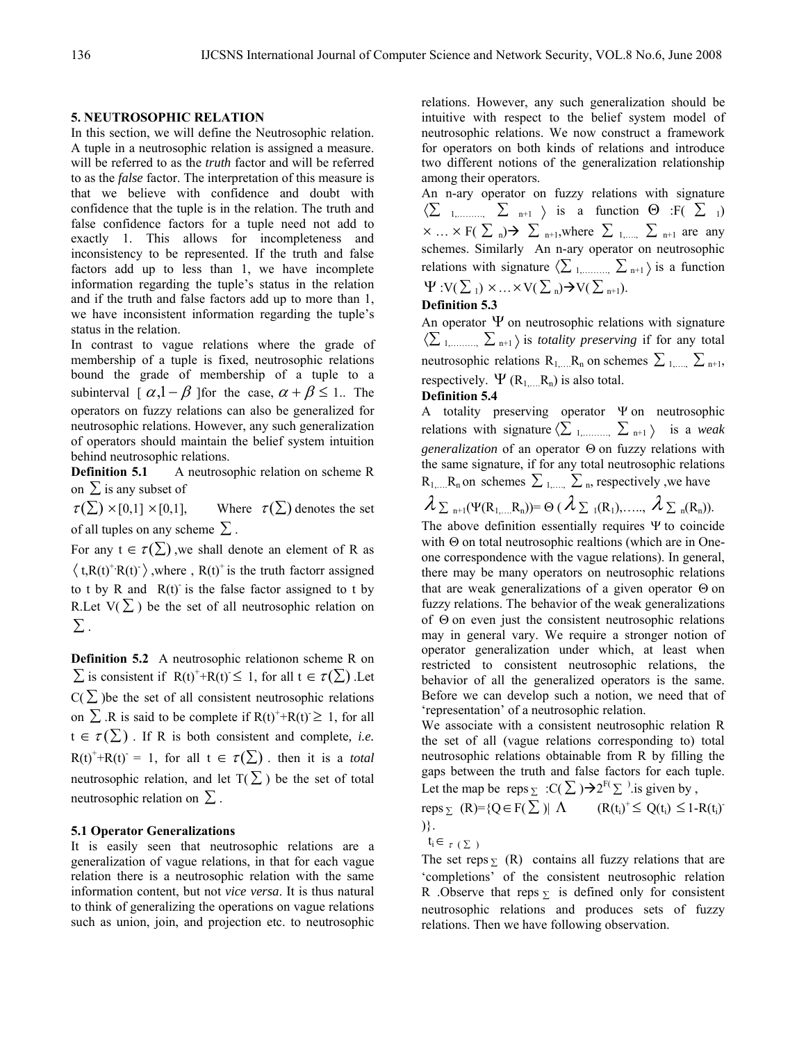#### **5. NEUTROSOPHIC RELATION**

In this section, we will define the Neutrosophic relation. A tuple in a neutrosophic relation is assigned a measure. will be referred to as the *truth* factor and will be referred to as the *false* factor. The interpretation of this measure is that we believe with confidence and doubt with confidence that the tuple is in the relation. The truth and false confidence factors for a tuple need not add to exactly 1. This allows for incompleteness and inconsistency to be represented. If the truth and false factors add up to less than 1, we have incomplete information regarding the tuple's status in the relation and if the truth and false factors add up to more than 1, we have inconsistent information regarding the tuple's status in the relation.

In contrast to vague relations where the grade of membership of a tuple is fixed, neutrosophic relations bound the grade of membership of a tuple to a subinterval  $\left[\alpha, 1-\beta\right]$  for the case,  $\alpha + \beta \leq 1$ . The operators on fuzzy relations can also be generalized for neutrosophic relations. However, any such generalization of operators should maintain the belief system intuition behind neutrosophic relations.

**Definition 5.1** A neutrosophic relation on scheme R on  $\Sigma$  is any subset of

 $\tau(\Sigma) \times [0,1] \times [0,1],$  Where  $\tau(\Sigma)$  denotes the set of all tuples on any scheme  $\Sigma$ .

For any  $t \in \tau(\sum)$ , we shall denote an element of R as  $\langle t, R(t)^{+}R(t)^{-} \rangle$ , where,  $R(t)^{+}$  is the truth factorr assigned to t by R and  $R(t)$  is the false factor assigned to t by R.Let  $V(\Sigma)$  be the set of all neutrosophic relation on  $\Sigma$  .

**Definition 5.2** A neutrosophic relationon scheme R on  $\sum$  is consistent if  $R(t)^+ + R(t) \leq 1$ , for all  $t \in \tau(\sum)$ . Let  $C(\sum)$  be the set of all consistent neutrosophic relations on  $\Sigma$ . R is said to be complete if  $R(t)^+ + R(t) \geq 1$ , for all  $t \in \tau(\sum)$ . If R is both consistent and complete, *i.e.*  $R(t)^+ + R(t) = 1$ , for all  $t \in \tau(\Sigma)$ . then it is a *total* neutrosophic relation, and let  $T(\Sigma)$  be the set of total neutrosophic relation on  $\Sigma$ .

#### **5.1 Operator Generalizations**

It is easily seen that neutrosophic relations are a generalization of vague relations, in that for each vague relation there is a neutrosophic relation with the same information content, but not *vice versa*. It is thus natural to think of generalizing the operations on vague relations such as union, join, and projection etc. to neutrosophic relations. However, any such generalization should be intuitive with respect to the belief system model of neutrosophic relations. We now construct a framework for operators on both kinds of relations and introduce two different notions of the generalization relationship among their operators.

An n-ary operator on fuzzy relations with signature  $\langle \sum_{1,\dots,\dots,\infty} \sum_{n+1} \rangle$  is a function  $\Theta$  :  $F(\sum_{1})$  $\times ... \times F(\sum_{n}) \rightarrow \sum_{n+1}$ , where  $\sum_{n+1}$   $\sum_{n+1}$  are any schemes. Similarly An n-ary operator on neutrosophic relations with signature  $\langle \sum_{1, \dots, n} \sum_{n+1} \rangle$  is a function  $\Psi: V(\sum_{i} \mathcal{X} \times V(\sum_{i} \rightarrow V(\sum_{i} \rightarrow 1)).$ 

# **Definition 5.3**

An operator  $\Psi$  on neutrosophic relations with signature 〈∑ 1,………, ∑ n+1 〉 is *totality preserving* if for any total neutrosophic relations  $R_1, \ldots, R_n$  on schemes  $\sum_{1, \ldots, n} \sum_{n+1, n+1}$ respectively.  $\Psi$  ( $R_1$ <sub>m</sub>,  $R_n$ ) is also total.

#### **Definition 5.4**

A totality preserving operator Ψ on neutrosophic relations with signature  $\langle \sum_{1,\dots,\dots,n} \sum_{n+1} \rangle$  is a *weak generalization* of an operator Θ on fuzzy relations with the same signature, if for any total neutrosophic relations  $R_{1,...,R_n}$  on schemes  $\sum_{1,...,N} \sum_{n}$ , respectively , we have

$$
\lambda_{\sum n+1}(\Psi(R_{1,\ldots,}R_n)) = \Theta\left(\lambda_{\sum 1}(R_1),\ldots,\lambda_{\sum n}(R_n)\right).
$$

The above definition essentially requires Ψ to coincide with Θ on total neutrosophic realtions (which are in Oneone correspondence with the vague relations). In general, there may be many operators on neutrosophic relations that are weak generalizations of a given operator Θ on fuzzy relations. The behavior of the weak generalizations of Θ on even just the consistent neutrosophic relations may in general vary. We require a stronger notion of operator generalization under which, at least when restricted to consistent neutrosophic relations, the behavior of all the generalized operators is the same. Before we can develop such a notion, we need that of 'representation' of a neutrosophic relation.

We associate with a consistent neutrosophic relation R the set of all (vague relations corresponding to) total neutrosophic relations obtainable from R by filling the gaps between the truth and false factors for each tuple. Let the map be reps  $\sum$  :C( $\sum$ ) $\rightarrow$ 2<sup>F(</sup> $\sum$ ) is given by,

reps  $\Sigma$  (R)={Q  $\in$  F( $\Sigma$ )|  $\Lambda$  (R(t<sub>i</sub>)<sup>+</sup>  $\leq$  Q(t<sub>i</sub>)  $\leq$  1-R(t<sub>i</sub>)<sup>-</sup> )}.

$$
t_i \in \tau(\Sigma)
$$

The set reps  $\Sigma$  (R) contains all fuzzy relations that are 'completions' of the consistent neutrosophic relation R .Observe that reps  $\overline{y}$  is defined only for consistent neutrosophic relations and produces sets of fuzzy relations. Then we have following observation.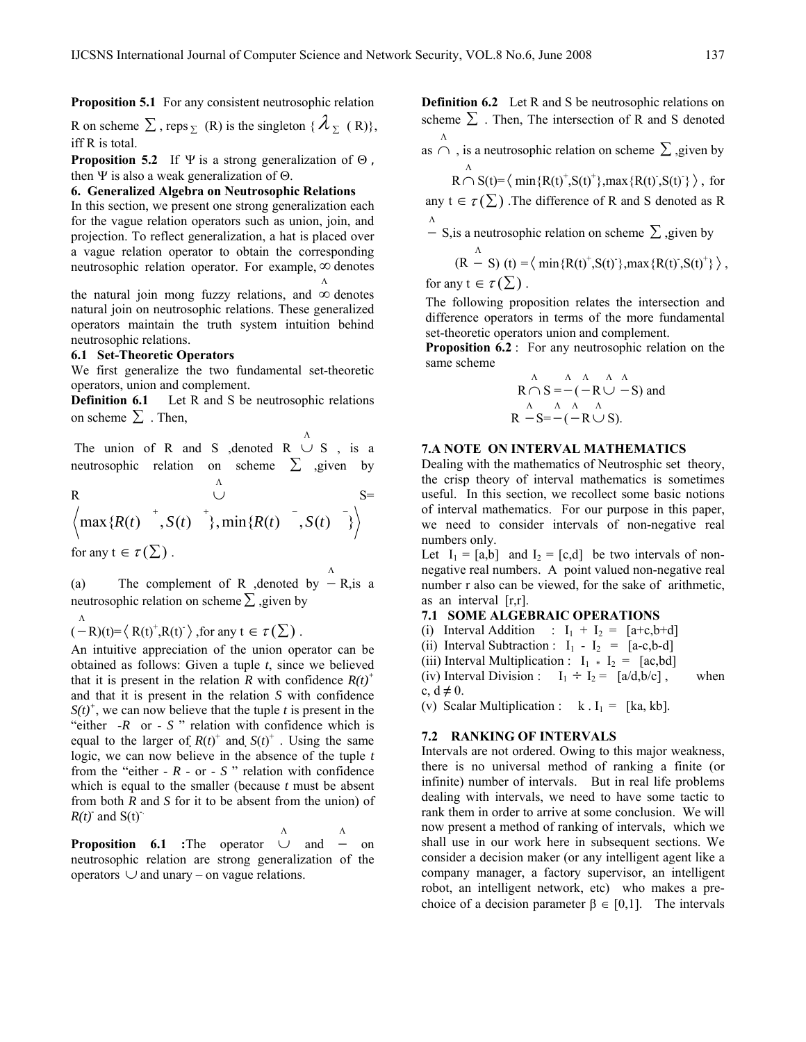**Proposition 5.1** For any consistent neutrosophic relation

R on scheme  $\Sigma$ , reps  $\Sigma$  (R) is the singleton {  $\lambda_{\Sigma}$  (R)}, iff R is total.

**Proposition 5.2** If Ψ is a strong generalization of  $\Theta$ , then Ψ is also a weak generalization of  $Θ$ .

#### **6. Generalized Algebra on Neutrosophic Relations**

In this section, we present one strong generalization each for the vague relation operators such as union, join, and projection. To reflect generalization, a hat is placed over a vague relation operator to obtain the corresponding neutrosophic relation operator. For example,  $\infty$  denotes Λ

the natural join mong fuzzy relations, and  $\infty$  denotes natural join on neutrosophic relations. These generalized operators maintain the truth system intuition behind neutrosophic relations.

#### **6.1 Set-Theoretic Operators**

We first generalize the two fundamental set-theoretic operators, union and complement.

**Definition 6.1** Let R and S be neutrosophic relations on scheme  $\Sigma$ . Then,

The union of R and S ,denoted  $R \cup S$ , is a Λ neutrosophic relation on scheme  $\Sigma$  ,given by

R  
\n
$$
\left\langle \max\{R(t)^{-+}, S(t)^{-+}\}, \min\{R(t)^{--}, S(t)^{--}\} \right\rangle
$$
\nfor any  $t \in \tau(\Sigma)$ .

(a) The complement of R ,denoted by  $-$  R, is a Λ neutrosophic relation on scheme  $\Sigma$ , given by

$$
\stackrel{\Lambda}{(-R)(t)}=\langle R(t)^+, R(t)^-\rangle \text{, for any } t \in \tau(\Sigma) .
$$

An intuitive appreciation of the union operator can be obtained as follows: Given a tuple *t*, since we believed that it is present in the relation *R* with confidence  $R(t)^+$ and that it is present in the relation *S* with confidence  $S(t)^{+}$ , we can now believe that the tuple *t* is present in the "either -*R* or - *S* " relation with confidence which is equal to the larger of  $R(t)^+$  and  $S(t)^+$ . Using the same logic, we can now believe in the absence of the tuple *t*  from the "either - *R* - or - *S* " relation with confidence which is equal to the smaller (because *t* must be absent from both *R* and *S* for it to be absent from the union) of  $R(t)$ <sup>-</sup> and S(t)<sup>-</sup>.

Proposition 6.1 :The operator ∪ and Λ Λ − on neutrosophic relation are strong generalization of the operators  $∪$  and unary – on vague relations.

**Definition 6.2** Let R and S be neutrosophic relations on scheme  $\Sigma$ . Then, The intersection of R and S denoted Λ

as  $\cap$ , is a neutrosophic relation on scheme  $\Sigma$ , given by Λ

$$
R\cap S(t)\!\!=\!\big\langle\min\{R(t)^+, \!S(t)^+\}, \max\{R(t)^-, \!S(t)^-\}\,\big\rangle\,,\text{ for }
$$

any  $t \in \tau(\Sigma)$ . The difference of R and S denoted as R

 $\Lambda$  S, is a neutrosophic relation on scheme  $\Sigma$ , given by Λ

$$
(R - S) (t) = \langle \min\{R(t)^+, S(t)^-\}, \max\{R(t)^-, S(t)^+\}\rangle,
$$

for any  $t \in \tau(\Sigma)$ .

The following proposition relates the intersection and difference operators in terms of the more fundamental set-theoretic operators union and complement.

**Proposition 6.2** : For any neutrosophic relation on the same scheme

$$
\mathsf{R} \cap \mathsf{S} = -(-\mathsf{R} \cup \neg \mathsf{S}) \text{ and } \newline \mathsf{A} \quad \mathsf{A} \quad \mathsf{A} \quad \mathsf{A} \newline \mathsf{R} \quad \neg \mathsf{S} = -(-\mathsf{R} \cup \mathsf{S}).
$$

## **7.A NOTE ON INTERVAL MATHEMATICS**

Dealing with the mathematics of Neutrosphic set theory, the crisp theory of interval mathematics is sometimes useful. In this section, we recollect some basic notions of interval mathematics. For our purpose in this paper, we need to consider intervals of non-negative real numbers only.

Let  $I_1 = [a,b]$  and  $I_2 = [c,d]$  be two intervals of nonnegative real numbers. A point valued non-negative real number r also can be viewed, for the sake of arithmetic, as an interval [r,r].

## **7.1 SOME ALGEBRAIC OPERATIONS**

(i) Interval Addition :  $I_1 + I_2 = [a+c,b+d]$ 

(ii) Interval Subtraction :  $I_1 - I_2 = [a-c,b-d]$ 

(iii) Interval Multiplication :  $I_1 * I_2 = [ac,bd]$ 

(iv) Interval Division :  $I_1 \div I_2 = [a/d, b/c]$ , when c, d **≠** 0.

(v) Scalar Multiplication :  $k I_1 = [ka, kb]$ .

#### **7.2 RANKING OF INTERVALS**

Intervals are not ordered. Owing to this major weakness, there is no universal method of ranking a finite (or infinite) number of intervals. But in real life problems dealing with intervals, we need to have some tactic to rank them in order to arrive at some conclusion. We will now present a method of ranking of intervals, which we shall use in our work here in subsequent sections. We consider a decision maker (or any intelligent agent like a company manager, a factory supervisor, an intelligent robot, an intelligent network, etc) who makes a prechoice of a decision parameter  $\beta \in [0,1]$ . The intervals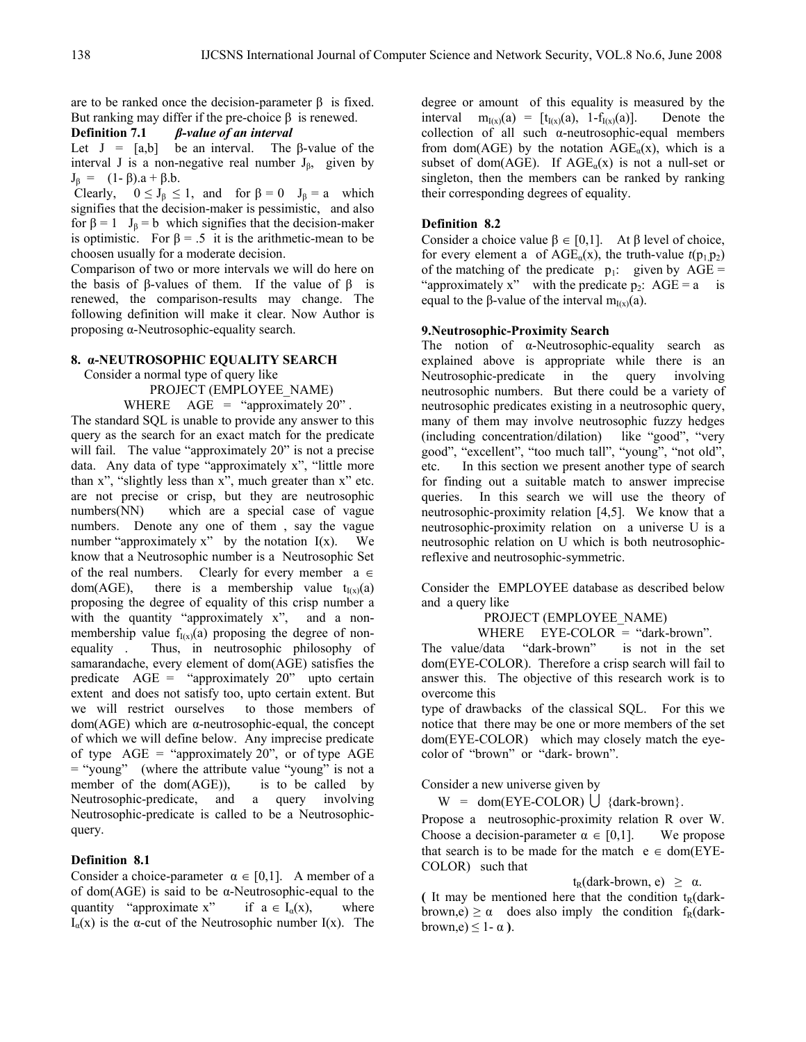are to be ranked once the decision-parameter  $\beta$  is fixed. But ranking may differ if the pre-choice β is renewed.

**Definition 7.1** *β-value of an interval* 

Let  $J = [a,b]$  be an interval. The β-value of the interval J is a non-negative real number  $J_{\beta}$ , given by  $J<sub>β</sub> = (1-β).a + β.b.$ 

Clearly,  $0 \le J_\beta \le 1$ , and for  $\beta = 0$   $J_\beta = a$  which signifies that the decision-maker is pessimistic, and also for  $\beta = 1$  J<sub>β</sub> = b which signifies that the decision-maker is optimistic. For  $\beta = .5$  it is the arithmetic-mean to be choosen usually for a moderate decision.

Comparison of two or more intervals we will do here on the basis of β-values of them. If the value of β is renewed, the comparison-results may change. The following definition will make it clear. Now Author is proposing α-Neutrosophic-equality search.

#### **8. α-NEUTROSOPHIC EQUALITY SEARCH**

Consider a normal type of query like

PROJECT (EMPLOYEE\_NAME)

WHERE  $\angle$  AGE = "approximately 20". The standard SQL is unable to provide any answer to this query as the search for an exact match for the predicate will fail. The value "approximately 20" is not a precise data. Any data of type "approximately x", "little more than x", "slightly less than x", much greater than x" etc. are not precise or crisp, but they are neutrosophic numbers(NN) which are a special case of vague numbers. Denote any one of them , say the vague number "approximately  $x$ " by the notation  $I(x)$ . We know that a Neutrosophic number is a Neutrosophic Set of the real numbers. Clearly for every member  $a \in$ dom(AGE), there is a membership value  $t_{I(x)}(a)$ proposing the degree of equality of this crisp number a with the quantity "approximately x", and a nonmembership value  $f_{I(x)}(a)$  proposing the degree of nonequality . Thus, in neutrosophic philosophy of samarandache, every element of dom(AGE) satisfies the predicate AGE = "approximately 20" upto certain extent and does not satisfy too, upto certain extent. But we will restrict ourselves to those members of dom(AGE) which are α-neutrosophic-equal, the concept of which we will define below. Any imprecise predicate of type  $\text{AGE} =$  "approximately 20", or of type AGE = "young" (where the attribute value "young" is not a member of the  $dom(AGE)$ ), is to be called by Neutrosophic-predicate, and a query involving Neutrosophic-predicate is called to be a Neutrosophicquery.

## **Definition 8.1**

Consider a choice-parameter  $\alpha \in [0,1]$ . A member of a of dom( $AGE$ ) is said to be  $\alpha$ -Neutrosophic-equal to the quantity "approximate x" if  $a \in I_{\alpha}(x)$ , where I<sub>α</sub>(x) is the α-cut of the Neutrosophic number I(x). The

degree or amount of this equality is measured by the interval  $m_{I(x)}(a) = [t_{I(x)}(a), 1-f_{I(x)}(a)].$  Denote the collection of all such α-neutrosophic-equal members from dom(AGE) by the notation  $\text{AGE}_{\alpha}(x)$ , which is a subset of dom(AGE). If  $\text{AGE}_{\alpha}(x)$  is not a null-set or singleton, then the members can be ranked by ranking their corresponding degrees of equality.

#### **Definition 8.2**

Consider a choice value  $\beta \in [0,1]$ . At  $\beta$  level of choice, for every element a of  $\text{AGE}_{\alpha}(x)$ , the truth-value  $t(p_1, p_2)$ of the matching of the predicate  $p_1$ : given by AGE = "approximately x" with the predicate  $p_2$ :  $AGE = a$  is equal to the β-value of the interval  $m<sub>I(x)</sub>(a)$ .

#### **9.Neutrosophic-Proximity Search**

The notion of α-Neutrosophic-equality search as explained above is appropriate while there is an Neutrosophic-predicate in the query involving neutrosophic numbers. But there could be a variety of neutrosophic predicates existing in a neutrosophic query, many of them may involve neutrosophic fuzzy hedges (including concentration/dilation) like "good", "very good", "excellent", "too much tall", "young", "not old", etc. In this section we present another type of search for finding out a suitable match to answer imprecise queries. In this search we will use the theory of neutrosophic-proximity relation [4,5]. We know that a neutrosophic-proximity relation on a universe U is a neutrosophic relation on U which is both neutrosophicreflexive and neutrosophic-symmetric.

Consider the EMPLOYEE database as described below and a query like

PROJECT (EMPLOYEE\_NAME)

WHERE EYE-COLOR = "dark-brown".

The value/data "dark-brown" is not in the set dom(EYE-COLOR). Therefore a crisp search will fail to answer this. The objective of this research work is to overcome this

type of drawbacks of the classical SQL. For this we notice that there may be one or more members of the set dom(EYE-COLOR) which may closely match the eyecolor of "brown" or "dark- brown".

Consider a new universe given by

 $W = dom(EYE-COLOR) \cup \{dark-brown\}$ .

Propose a neutrosophic-proximity relation R over W. Choose a decision-parameter  $\alpha \in [0,1]$ . We propose that search is to be made for the match  $e \in dom(EYE-$ COLOR) such that

 $t_R$ (dark-brown, e)  $\geq \alpha$ .

(It may be mentioned here that the condition  $t_R$ (darkbrown,e)  $\geq \alpha$  does also imply the condition f<sub>R</sub>(darkbrown,e)  $\leq 1 - \alpha$ ).